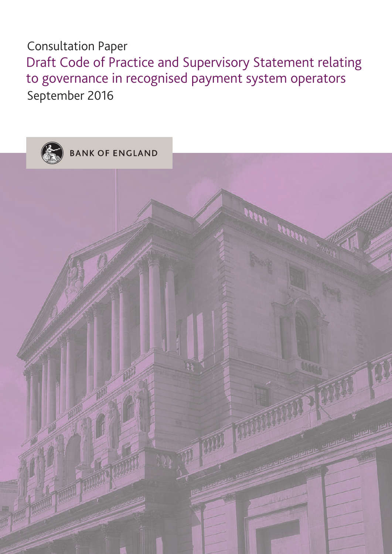# Consultation Paper

Draft Code of Practice and Supervisory Statement relating to governance in recognised payment system operators September 2016

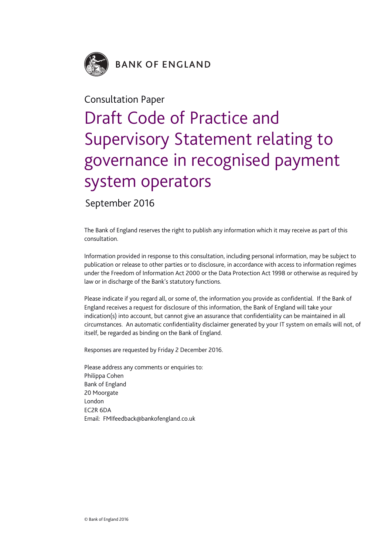

# Consultation Paper

# Draft Code of Practice and Supervisory Statement relating to governance in recognised payment system operators

September 2016

The Bank of England reserves the right to publish any information which it may receive as part of this consultation.

Information provided in response to this consultation, including personal information, may be subject to publication or release to other parties or to disclosure, in accordance with access to information regimes under the Freedom of Information Act 2000 or the Data Protection Act 1998 or otherwise as required by law or in discharge of the Bank's statutory functions.

Please indicate if you regard all, or some of, the information you provide as confidential. If the Bank of England receives a request for disclosure of this information, the Bank of England will take your indication(s) into account, but cannot give an assurance that confidentiality can be maintained in all circumstances. An automatic confidentiality disclaimer generated by your IT system on emails will not, of itself, be regarded as binding on the Bank of England.

Responses are requested by Friday 2 December 2016.

Please address any comments or enquiries to: Philippa Cohen Bank of England 20 Moorgate London EC2R 6DA Email: <FMIfeedback@bankofengland.co.uk>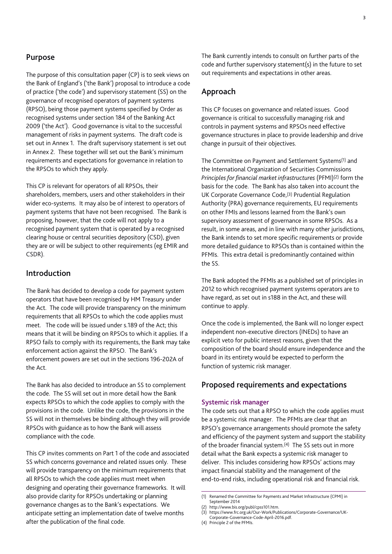# **Purpose**

The purpose of this consultation paper (CP) is to seek views on the Bank of England's ('the Bank') proposal to introduce a code of practice ('the code') and supervisory statement (SS) on the governance of recognised operators of payment systems (RPSO), being those payment systems specified by Order as recognised systems under section 184 of the Banking Act 2009 ('the Act'). Good governance is vital to the successful management of risks in payment systems. The draft code is set out in Annex 1. The draft supervisory statement is set out in Annex 2. These together will set out the Bank's minimum requirements and expectations for governance in relation to the RPSOs to which they apply.

This CP is relevant for operators of all RPSOs, their shareholders, members, users and other stakeholders in their wider eco-systems. It may also be of interest to operators of payment systems that have not been recognised. The Bank is proposing, however, that the code will not apply to a recognised payment system that is operated by a recognised clearing house or central securities depository (CSD), given they are or will be subject to other requirements (eg EMIR and CSDR).

# **Introduction**

The Bank has decided to develop a code for payment system operators that have been recognised by HM Treasury under the Act. The code will provide transparency on the minimum requirements that all RPSOs to which the code applies must meet. The code will be issued under s.189 of the Act; this means that it will be binding on RPSOs to which it applies. If a RPSO fails to comply with its requirements, the Bank may take enforcement action against the RPSO. The Bank's enforcement powers are set out in the sections 196-202A of the Act.

The Bank has also decided to introduce an SS to complement the code. The SS will set out in more detail how the Bank expects RPSOs to which the code applies to comply with the provisions in the code. Unlike the code, the provisions in the SS will not in themselves be binding although they will provide RPSOs with guidance as to how the Bank will assess compliance with the code.

This CP invites comments on Part 1 of the code and associated SS which concerns governance and related issues only. These will provide transparency on the minimum requirements that all RPSOs to which the code applies must meet when designing and operating their governance frameworks. It will also provide clarity for RPSOs undertaking or planning governance changes as to the Bank's expectations. We anticipate setting an implementation date of twelve months after the publication of the final code.

The Bank currently intends to consult on further parts of the code and further supervisory statement(s) in the future to set out requirements and expectations in other areas.

# **Approach**

This CP focuses on governance and related issues. Good governance is critical to successfully managing risk and controls in payment systems and RPSOs need effective governance structures in place to provide leadership and drive change in pursuit of their objectives.

The Committee on Payment and Settlement Systems(1) and the International Organization of Securities Commissions *Principles for financial market infrastructures* (PFMI)(2) form the basis for the code. The Bank has also taken into account the UK Corporate Governance Code,(3) Prudential Regulation Authority (PRA) governance requirements, EU requirements on other FMIs and lessons learned from the Bank's own supervisory assessment of governance in some RPSOs. As a result, in some areas, and in line with many other jurisdictions, the Bank intends to set more specific requirements or provide more detailed guidance to RPSOs than is contained within the PFMIs. This extra detail is predominantly contained within the SS.

The Bank adopted the PFMIs as a published set of principles in 2012 to which recognised payment systems operators are to have regard, as set out in s188 in the Act, and these will continue to apply.

Once the code is implemented, the Bank will no longer expect independent non-executive directors (INEDs) to have an explicit veto for public interest reasons, given that the composition of the board should ensure independence and the board in its entirety would be expected to perform the function of systemic risk manager.

# **Proposed requirements and expectations**

#### **Systemic risk manager**

The code sets out that a RPSO to which the code applies must be a systemic risk manager. The PFMIs are clear that an RPSO's governance arrangements should promote the safety and efficiency of the payment system and support the stability of the broader financial system.(4) The SS sets out in more detail what the Bank expects a systemic risk manager to deliver. This includes considering how RPSOs' actions may impact financial stability and the management of the end-to-end risks, including operational risk and financial risk.

(4) Principle 2 of the PFMIs.

<sup>(1)</sup> Renamed the Committee for Payments and Market Infrastructure (CPMI) in September 2014

http://www.bis.org/publ/cpss101.htm.

<sup>(3)</sup> [https://www.frc.org.uk/Our-Work/Publications/Corporate-Governance/UK-](https://www.frc.org.uk/Our-Work/Publications/Corporate-Governance/UK-Corporate-Governance-Code-April-2016.pdf)

[Corporate-Governance-Code-April-2016.pdf.](https://www.frc.org.uk/Our-Work/Publications/Corporate-Governance/UK-Corporate-Governance-Code-April-2016.pdf)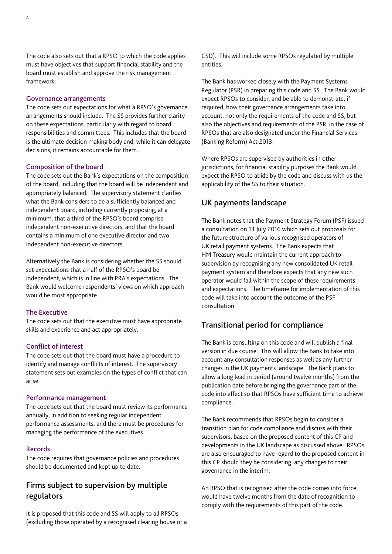The code also sets out that a RPSO to which the code applies must have objectives that support financial stability and the board must establish and approve the risk management framework.

#### **Governance arrangements**

The code sets out expectations for what a RPSO's governance arrangements should include. The SS provides further clarity on these expectations, particularly with regard to board responsibilities and committees. This includes that the board is the ultimate decision making body and, while it can delegate decisions, it remains accountable for them.

#### **Composition of the board**

The code sets out the Bank's expectations on the composition of the board, including that the board will be independent and appropriately balanced. The supervisory statement clarifies what the Bank considers to be a sufficiently balanced and independent board, including currently proposing, at a minimum, that a third of the RPSO's board comprise independent non-executive directors, and that the board contains a minimum of one executive director and two independent non-executive directors.

Alternatively the Bank is considering whether the SS should set expectations that a half of the RPSO's board be independent, which is in line with PRA's expectations. The Bank would welcome respondents' views on which approach would be most appropriate.

#### **The Executive**

The code sets out that the executive must have appropriate skills and experience and act appropriately.

# **Conflict of interest**

The code sets out that the board must have a procedure to identify and manage conflicts of interest. The supervisory statement sets out examples on the types of conflict that can arise.

#### **Performance management**

The code sets out that the board must review its performance annually, in addition to seeking regular independent performance assessments, and there must be procedures for managing the performance of the executives.

#### **Records**

The code requires that governance policies and procedures should be documented and kept up to date.

# **Firms subject to supervision by multiple regulators**

It is proposed that this code and SS will apply to all RPSOs (excluding those operated by a recognised clearing house or a CSD). This will include some RPSOs regulated by multiple entities.

The Bank has worked closely with the Payment Systems Regulator (PSR) in preparing this code and SS. The Bank would expect RPSOs to consider, and be able to demonstrate, if required, how their governance arrangements take into account, not only the requirements of the code and SS, but also the objectives and requirements of the PSR, in the case of RPSOs that are also designated under the Financial Services (Banking Reform) Act 2013.

Where RPSOs are supervised by authorities in other jurisdictions, for financial stability purposes the Bank would expect the RPSO to abide by the code and discuss with us the applicability of the SS to their situation.

#### **UK payments landscape**

The Bank notes that the Payment Strategy Forum (PSF) issued a consultation on 13 July 2016 which sets out proposals for the future structure of various recognised operators of UK retail payment systems. The Bank expects that HM Treasury would maintain the current approach to supervision by recognising any new consolidated UK retail payment system and therefore expects that any new such operator would fall within the scope of these requirements and expectations. The timeframe for implementation of this code will take into account the outcome of the PSF consultation.

# **Transitional period for compliance**

The Bank is consulting on this code and will publish a final version in due course. This will allow the Bank to take into account any consultation responses as well as any further changes in the UK payments landscape. The Bank plans to allow a long lead in period (around twelve months) from the publication date before bringing the governance part of the code into effect so that RPSOs have sufficient time to achieve compliance.

The Bank recommends that RPSOs begin to consider a transition plan for code compliance and discuss with their supervisors, based on the proposed content of this CP and developments in the UK landscape as discussed above. RPSOs are also encouraged to have regard to the proposed content in this CP should they be considering any changes to their governance in the interim.

An RPSO that is recognised after the code comes into force would have twelve months from the date of recognition to comply with the requirements of this part of the code.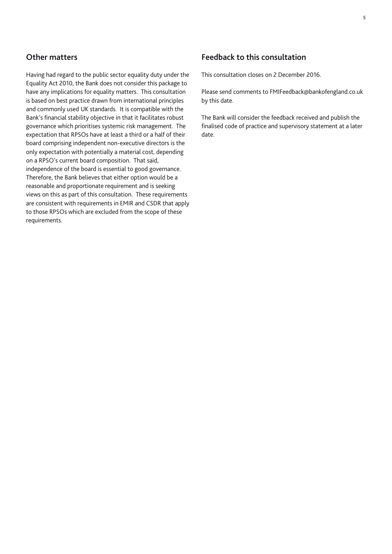# **Other matters**

Having had regard to the public sector equality duty under the Equality Act 2010, the Bank does not consider this package to have any implications for equality matters. This consultation is based on best practice drawn from international principles and commonly used UK standards. It is compatible with the Bank's financial stability objective in that it facilitates robust governance which prioritises systemic risk management. The expectation that RPSOs have at least a third or a half of their board comprising independent non-executive directors is the only expectation with potentially a material cost, depending on a RPSO's current board composition. That said, independence of the board is essential to good governance. Therefore, the Bank believes that either option would be a reasonable and proportionate requirement and is seeking views on this as part of this consultation. These requirements are consistent with requirements in EMIR and CSDR that apply to those RPSOs which are excluded from the scope of these requirements.

# **Feedback to this consultation**

This consultation closes on 2 December 2016.

Please send comments to <FMIFeedback@bankofengland.co.uk> by this date.

The Bank will consider the feedback received and publish the finalised code of practice and supervisory statement at a later date.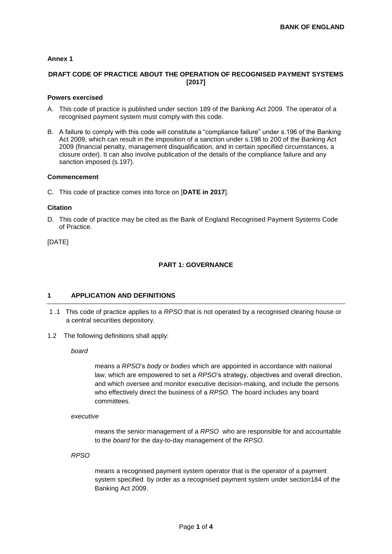#### **Annex 1**

# **DRAFT CODE OF PRACTICE ABOUT THE OPERATION OF RECOGNISED PAYMENT SYSTEMS [2017]**

#### **Powers exercised**

- A. This code of practice is published under section 189 of the Banking Act 2009. The operator of a recognised payment system must comply with this code.
- B. A failure to comply with this code will constitute a "compliance failure" under s.196 of the Banking Act 2009, which can result in the imposition of a sanction under s.198 to 200 of the Banking Act 2009 (financial penalty, management disqualification, and in certain specified circumstances, a closure order). It can also involve publication of the details of the compliance failure and any sanction imposed (s.197).

#### **Commencement**

C. This code of practice comes into force on [**DATE in 2017**].

#### **Citation**

D. This code of practice may be cited as the Bank of England Recognised Payment Systems Code of Practice.

[DATE]

# **PART 1: GOVERNANCE**

#### **1 APPLICATION AND DEFINITIONS**

- 1 .1 This code of practice applies to a *RPSO* that is not operated by a recognised clearing house or a central securities depository.
- 1.2 The following definitions shall apply:

*board*

means a *RPSO*'s *body or bodies* which are appointed in accordance with national law, which are empowered to set a *RPSO*'s strategy, objectives and overall direction, and which oversee and monitor executive decision-making, and include the persons who effectively direct the business of a *RPSO*. The board includes any board committees.

#### *executive*

means the senior management of a *RPSO* who are responsible for and accountable to the *board* for the day-to-day management of the *RPSO.*

*RPSO*

means a recognised payment system operator that is the operator of a payment system specified by order as a recognised payment system under section184 of the Banking Act 2009.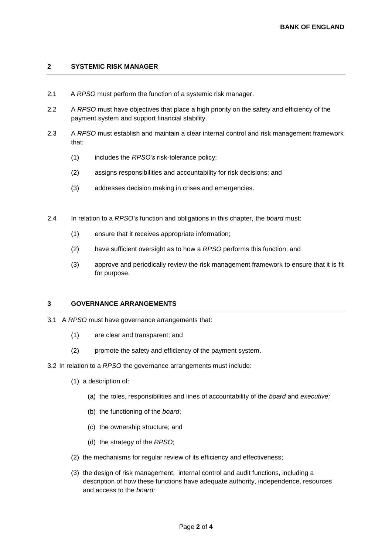# **2 SYSTEMIC RISK MANAGER**

- 2.1 A *RPSO* must perform the function of a systemic risk manager.
- 2.2 A *RPSO* must have objectives that place a high priority on the safety and efficiency of the payment system and support financial stability.
- 2.3 A *RPSO* must establish and maintain a clear internal control and risk management framework that:
	- (1) includes the *RPSO's* risk-tolerance policy;
	- (2) assigns responsibilities and accountability for risk decisions; and
	- (3) addresses decision making in crises and emergencies.
- 2.4 In relation to a *RPSO's* function and obligations in this chapter, the *board* must:
	- (1) ensure that it receives appropriate information;
	- (2) have sufficient oversight as to how a *RPSO* performs this function; and
	- (3) approve and periodically review the risk management framework to ensure that it is fit for purpose.

#### **3 GOVERNANCE ARRANGEMENTS**

- 3.1 A *RPSO* must have governance arrangements that:
	- (1) are clear and transparent; and
	- (2) promote the safety and efficiency of the payment system.

#### 3.2 In relation to a *RPSO* the governance arrangements must include:

- (1) a description of:
	- (a) the roles, responsibilities and lines of accountability of the *board* and *executive;*
	- (b) the functioning of the *board*;
	- (c) the ownership structure; and
	- (d) the strategy of the *RPSO*;
- (2) the mechanisms for regular review of its efficiency and effectiveness;
- (3) the design of risk management, internal control and audit functions, including a description of how these functions have adequate authority, independence, resources and access to the *board;*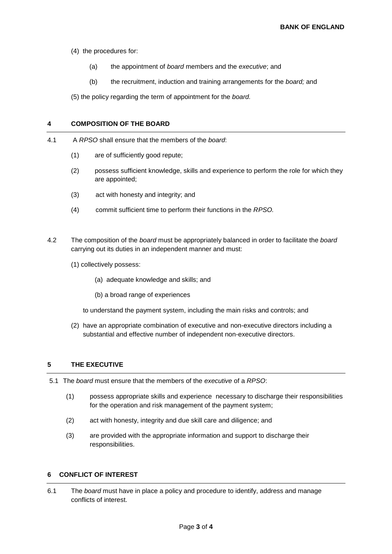(4) the procedures for:

- (a) the appointment of *board* members and the *executive*; and
- (b) the recruitment, induction and training arrangements for the *board;* and

(5) the policy regarding the term of appointment for the *board.*

#### **4 COMPOSITION OF THE BOARD**

- 4.1 A *RPSO* shall ensure that the members of the *board*:
	- (1) are of sufficiently good repute;
	- (2) possess sufficient knowledge, skills and experience to perform the role for which they are appointed;
	- (3) act with honesty and integrity; and
	- (4) commit sufficient time to perform their functions in the *RPSO.*
- 4.2 The composition of the *board* must be appropriately balanced in order to facilitate the *board*  carrying out its duties in an independent manner and must:
	- (1) collectively possess:
		- (a) adequate knowledge and skills; and
		- (b) a broad range of experiences

to understand the payment system, including the main risks and controls; and

(2) have an appropriate combination of executive and non-executive directors including a substantial and effective number of independent non-executive directors.

# **5 THE EXECUTIVE**

- 5.1 The *board* must ensure that the members of the *executive* of a *RPSO*:
	- (1) possess appropriate skills and experience necessary to discharge their responsibilities for the operation and risk management of the payment system;
	- (2) act with honesty, integrity and due skill care and diligence; and
	- (3) are provided with the appropriate information and support to discharge their responsibilities.

#### **6 CONFLICT OF INTEREST**

6.1 The *board* must have in place a policy and procedure to identify, address and manage conflicts of interest.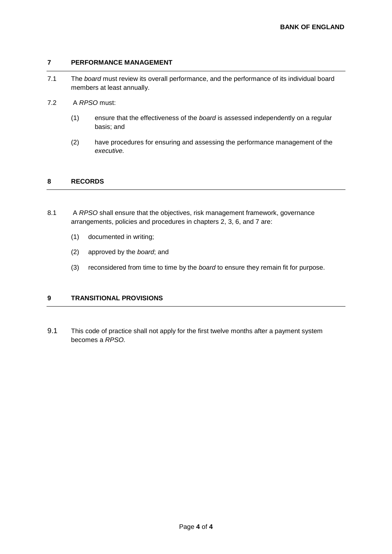# **7 PERFORMANCE MANAGEMENT**

- 7.1 The *board* must review its overall performance, and the performance of its individual board members at least annually.
- 7.2 A *RPSO* must:
	- (1) ensure that the effectiveness of the *board* is assessed independently on a regular basis; and
	- (2) have procedures for ensuring and assessing the performance management of the *executive.*

#### **8 RECORDS**

- 8.1 A *RPSO* shall ensure that the objectives, risk management framework, governance arrangements, policies and procedures in chapters 2, 3, 6, and 7 are:
	- (1) documented in writing;
	- (2) approved by the *board*; and
	- (3) reconsidered from time to time by the *board* to ensure they remain fit for purpose.

# **9 TRANSITIONAL PROVISIONS**

9.1 This code of practice shall not apply for the first twelve months after a payment system becomes a *RPSO.*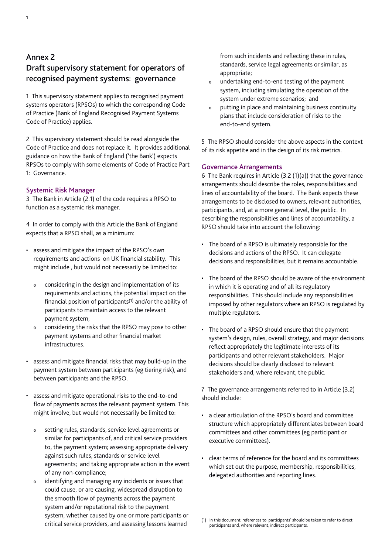**recognised payment systems: governance**

1 This supervisory statement applies to recognised payment systems operators (RPSOs) to which the corresponding Code of Practice (Bank of England Recognised Payment Systems Code of Practice) applies.

2 This supervisory statement should be read alongside the Code of Practice and does not replace it. It provides additional guidance on how the Bank of England ('the Bank') expects RPSOs to comply with some elements of Code of Practice Part 1: Governance.

# **Systemic Risk Manager**

3 The Bank in Article (2.1) of the code requires a RPSO to function as a systemic risk manager.

4 In order to comply with this Article the Bank of England expects that a RPSO shall, as a minimum:

- assess and mitigate the impact of the RPSO's own requirements and actions on UK financial stability. This might include , but would not necessarily be limited to:
	- 0 considering in the design and implementation of its requirements and actions, the potential impact on the financial position of participants(1) and/or the ability of participants to maintain access to the relevant payment system;
	- 0 considering the risks that the RPSO may pose to other payment systems and other financial market infrastructures.
- assess and mitigate financial risks that may build-up in the payment system between participants (eg tiering risk), and between participants and the RPSO.
- assess and mitigate operational risks to the end-to-end flow of payments across the relevant payment system. This might involve, but would not necessarily be limited to:
	- 0 setting rules, standards, service level agreements or similar for participants of, and critical service providers to, the payment system; assessing appropriate delivery against such rules, standards or service level agreements; and taking appropriate action in the event of any non-compliance;
	- 0 identifying and managing any incidents or issues that could cause, or are causing, widespread disruption to the smooth flow of payments across the payment system and/or reputational risk to the payment system, whether caused by one or more participants or critical service providers, and assessing lessons learned

from such incidents and reflecting these in rules, standards, service legal agreements or similar, as appropriate;

- 0 undertaking end-to-end testing of the payment system, including simulating the operation of the system under extreme scenarios; and
- 0 putting in place and maintaining business continuity plans that include consideration of risks to the end-to-end system.

5 The RPSO should consider the above aspects in the context of its risk appetite and in the design of its risk metrics.

# **Governance Arrangements**

6 The Bank requires in Article (3.2 (1)(a)) that the governance arrangements should describe the roles, responsibilities and lines of accountability of the board. The Bank expects these arrangements to be disclosed to owners, relevant authorities, participants, and, at a more general level, the public. In describing the responsibilities and lines of accountability, a RPSO should take into account the following:

- The board of a RPSO is ultimately responsible for the decisions and actions of the RPSO. It can delegate decisions and responsibilities, but it remains accountable.
- The board of the RPSO should be aware of the environment in which it is operating and of all its regulatory responsibilities. This should include any responsibilities imposed by other regulators where an RPSO is regulated by multiple regulators.
- The board of a RPSO should ensure that the payment system's design, rules, overall strategy, and major decisions reflect appropriately the legitimate interests of its participants and other relevant stakeholders. Major decisions should be clearly disclosed to relevant stakeholders and, where relevant, the public.

7 The governance arrangements referred to in Article (3.2) should include:

- a clear articulation of the RPSO's board and committee structure which appropriately differentiates between board committees and other committees (eg participant or executive committees).
- clear terms of reference for the board and its committees which set out the purpose, membership, responsibilities, delegated authorities and reporting lines.

<sup>(1)</sup> In this document, references to 'participants' should be taken to refer to direct participants and, where relevant, indirect participants.